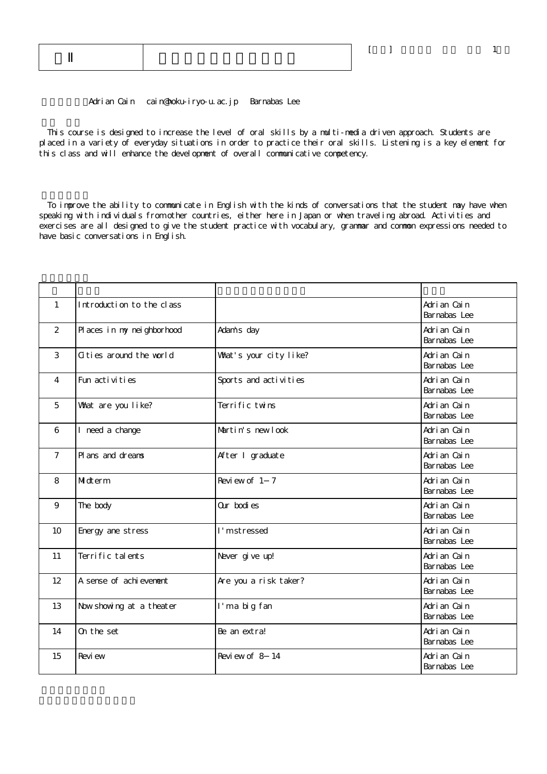Adrian Cain cain cain cain cho cho cu. ac. jp Barnabas Lee

 This course is designed to increase the level of oral skills by a multi-media driven approach. Students are placed in a variety of everyday situations in order to practice their oral skills. Listening is a key element for this class and will enhance the development of overall communicative competency.

 To improve the ability to communicate in English with the kinds of conversations that the student may have when speaking with individuals from other countries, either here in Japan or when traveling abroad. Activities and exercises are all designed to give the student practice with vocabulary, grammar and common expressions needed to have basic conversations in English.

| $\mathbf{1}$      | Introduction to the class    |                        | Adri an Cain<br>Barnabas Lee |
|-------------------|------------------------------|------------------------|------------------------------|
| 2                 | Pl aces in my nei ghbor hood | Adam s day             | Adri an Cain<br>Barnabas Lee |
| 3                 | Cities around the world      | What's your city like? | Adrian Cain<br>Barnabas Lee  |
| 4                 | Fun activities               | Sports and activities  | Adrian Cain<br>Barnabas Lee  |
| 5                 | What are you like?           | Terrific twins         | Adrian Cain<br>Barnabas Lee  |
| 6                 | I need a change              | Martin's newlook       | Adri an Cain<br>Barnabas Lee |
| $\overline{7}$    | Pl ans and dreams            | After I graduate       | Adrian Cain<br>Barnabas Lee  |
| 8                 | Midterm                      | Review of 1 7          | Adrian Cain<br>Barnabas Lee  |
| 9                 | The body                     | Cur bodi es            | Adri an Cain<br>Barnabas Lee |
| 10                | Energy ane stress            | I'mstressed            | Adrian Cain<br>Barnabas Lee  |
| 11                | Terrific talents             | Never give up!         | Adrian Cain<br>Barnabas Lee  |
| $12 \overline{ }$ | A sense of achievement       | Are you a risk taker?  | Adrian Cain<br>Barnabas Lee  |
| 13                | Now showing at a theater     | I'ma big fan           | Adrian Cain<br>Barnabas Lee  |
| 14                | On the set                   | Be an extra!           | Adri an Cain<br>Barnabas Lee |
| 15                | Revi ew                      | Review of 8 14         | Adrian Cain<br>Barnabas Lee  |